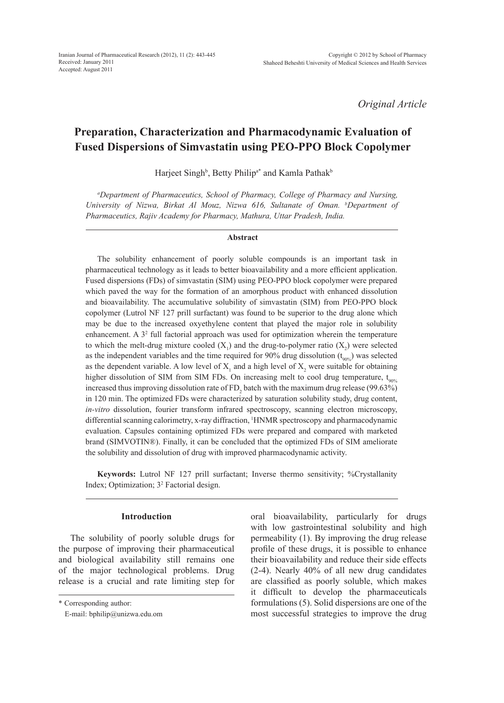*Original Article*

# **Preparation, Characterization and Pharmacodynamic Evaluation of Fused Dispersions of Simvastatin using PEO-PPO Block Copolymer**

Harjeet Singh<sup>b</sup>, Betty Philip<sup>a\*</sup> and Kamla Pathak<sup>b</sup>

*a Department of Pharmaceutics, School of Pharmacy, College of Pharmacy and Nursing, University of Nizwa, Birkat Al Mouz, Nizwa 616, Sultanate of Oman. b Department of Pharmaceutics, Rajiv Academy for Pharmacy, Mathura, Uttar Pradesh, India.*

#### **Abstract**

The solubility enhancement of poorly soluble compounds is an important task in pharmaceutical technology as it leads to better bioavailability and a more efficient application. Fused dispersions (FDs) of simvastatin (SIM) using PEO-PPO block copolymer were prepared which paved the way for the formation of an amorphous product with enhanced dissolution and bioavailability. The accumulative solubility of simvastatin (SIM) from PEO-PPO block copolymer (Lutrol NF 127 prill surfactant) was found to be superior to the drug alone which may be due to the increased oxyethylene content that played the major role in solubility enhancement. A  $3<sup>2</sup>$  full factorial approach was used for optimization wherein the temperature to which the melt-drug mixture cooled  $(X_1)$  and the drug-to-polymer ratio  $(X_2)$  were selected as the independent variables and the time required for 90% drug dissolution  $(t_{90\%})$  was selected as the dependent variable. A low level of  $X_1$  and a high level of  $X_2$  were suitable for obtaining higher dissolution of SIM from SIM FDs. On increasing melt to cool drug temperature,  $t_{00\%}$ increased thus improving dissolution rate of  $FD_2$  batch with the maximum drug release (99.63%) in 120 min. The optimized FDs were characterized by saturation solubility study, drug content, *in-vitro* dissolution, fourier transform infrared spectroscopy, scanning electron microscopy, differential scanning calorimetry, x-ray diffraction, 1 HNMR spectroscopy and pharmacodynamic evaluation. Capsules containing optimized FDs were prepared and compared with marketed brand (SIMVOTIN®). Finally, it can be concluded that the optimized FDs of SIM ameliorate the solubility and dissolution of drug with improved pharmacodynamic activity.

**Keywords:** Lutrol NF 127 prill surfactant; Inverse thermo sensitivity; %Crystallanity Index; Optimization; 3<sup>2</sup> Factorial design.

## **Introduction**

The solubility of poorly soluble drugs for the purpose of improving their pharmaceutical and biological availability still remains one of the major technological problems. Drug release is a crucial and rate limiting step for oral bioavailability, particularly for drugs with low gastrointestinal solubility and high permeability (1). By improving the drug release profile of these drugs, it is possible to enhance their bioavailability and reduce their side effects (2-4). Nearly 40% of all new drug candidates are classified as poorly soluble, which makes it difficult to develop the pharmaceuticals formulations (5). Solid dispersions are one of the most successful strategies to improve the drug

<sup>\*</sup> Corresponding author:

E-mail: bphilip@unizwa.edu.om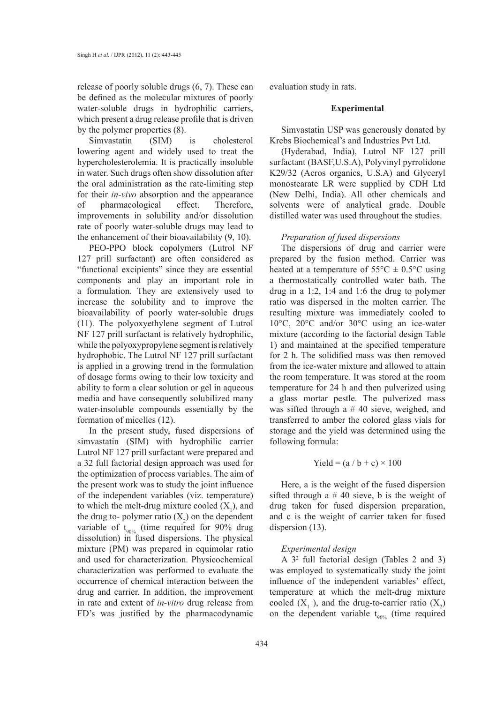release of poorly soluble drugs (6, 7). These can be defined as the molecular mixtures of poorly water-soluble drugs in hydrophilic carriers, which present a drug release profile that is driven by the polymer properties (8).

Simvastatin (SIM) is cholesterol lowering agent and widely used to treat the hypercholesterolemia. It is practically insoluble in water. Such drugs often show dissolution after the oral administration as the rate-limiting step for their *in-vivo* absorption and the appearance of pharmacological effect. Therefore, improvements in solubility and/or dissolution rate of poorly water-soluble drugs may lead to the enhancement of their bioavailability (9, 10).

PEO-PPO block copolymers (Lutrol NF 127 prill surfactant) are often considered as "functional excipients" since they are essential components and play an important role in a formulation. They are extensively used to increase the solubility and to improve the bioavailability of poorly water-soluble drugs (11). The polyoxyethylene segment of Lutrol NF 127 prill surfactant is relatively hydrophilic, while the polyoxypropylene segment is relatively hydrophobic. The Lutrol NF 127 prill surfactant is applied in a growing trend in the formulation of dosage forms owing to their low toxicity and ability to form a clear solution or gel in aqueous media and have consequently solubilized many water-insoluble compounds essentially by the formation of micelles (12).

In the present study, fused dispersions of simvastatin (SIM) with hydrophilic carrier Lutrol NF 127 prill surfactant were prepared and a 32 full factorial design approach was used for the optimization of process variables. The aim of the present work was to study the joint influence of the independent variables (viz. temperature) to which the melt-drug mixture cooled  $(X_1)$ , and the drug to- polymer ratio  $(X_2)$  on the dependent variable of  $t_{90\%}$  (time required for 90% drug dissolution) in fused dispersions. The physical mixture (PM) was prepared in equimolar ratio and used for characterization. Physicochemical characterization was performed to evaluate the occurrence of chemical interaction between the drug and carrier. In addition, the improvement in rate and extent of *in-vitro* drug release from FD's was justified by the pharmacodynamic

evaluation study in rats.

## **Experimental**

Simvastatin USP was generously donated by Krebs Biochemical's and Industries Pvt Ltd.

(Hyderabad, India), Lutrol NF 127 prill surfactant (BASF,U.S.A), Polyvinyl pyrrolidone K29/32 (Acros organics, U.S.A) and Glyceryl monostearate LR were supplied by CDH Ltd (New Delhi, India). All other chemicals and solvents were of analytical grade. Double distilled water was used throughout the studies.

## *Preparation of fused dispersions*

The dispersions of drug and carrier were prepared by the fusion method. Carrier was heated at a temperature of  $55^{\circ}$ C  $\pm$  0.5°C using a thermostatically controlled water bath. The drug in a 1:2, 1:4 and 1:6 the drug to polymer ratio was dispersed in the molten carrier. The resulting mixture was immediately cooled to 10°C, 20°C and/or 30°C using an ice-water mixture (according to the factorial design Table 1) and maintained at the specified temperature for 2 h. The solidified mass was then removed from the ice-water mixture and allowed to attain the room temperature. It was stored at the room temperature for 24 h and then pulverized using a glass mortar pestle. The pulverized mass was sifted through a # 40 sieve, weighed, and transferred to amber the colored glass vials for storage and the yield was determined using the following formula:

$$
Yield = (a / b + c) \times 100
$$

Here, a is the weight of the fused dispersion sifted through a  $# 40$  sieve, b is the weight of drug taken for fused dispersion preparation, and c is the weight of carrier taken for fused dispersion (13).

## *Experimental design*

A 3<sup>2</sup> full factorial design (Tables 2 and 3) was employed to systematically study the joint influence of the independent variables' effect, temperature at which the melt-drug mixture cooled  $(X_1)$ , and the drug-to-carrier ratio  $(X_2)$ on the dependent variable  $t_{90\%}$  (time required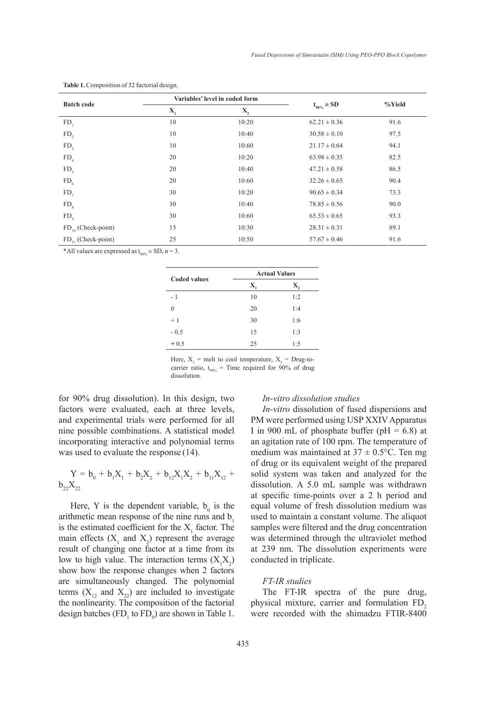|                         | Variables' level in coded form |                  |                  |        |  |
|-------------------------|--------------------------------|------------------|------------------|--------|--|
| <b>Batch code</b>       | $\mathbf{X}_{i}$               | $\mathbf{X}_{2}$ | $t_{.90\%}$ ± SD | %Yield |  |
| FD <sub>1</sub>         | 10                             | 10:20            | $62.21 \pm 0.36$ | 91.6   |  |
| FD <sub>2</sub>         | 10                             | 10:40            | $30.58 \pm 0.10$ | 97.5   |  |
| FD <sub>3</sub>         | 10                             | 10:60            | $21.17 \pm 0.64$ | 94.1   |  |
| FD <sub>4</sub>         | 20                             | 10:20            | $63.98 \pm 0.35$ | 82.5   |  |
| FD <sub>5</sub>         | 20                             | 10:40            | $47.21 \pm 0.58$ | 86.5   |  |
| FD <sub>6</sub>         | 20                             | 10:60            | $32.26 \pm 0.65$ | 90.4   |  |
| $FD_{7}$                | 30                             | 10:20            | $90.65 \pm 0.34$ | 73.3   |  |
| FD <sub>8</sub>         | 30                             | 10:40            | $78.85 \pm 0.56$ | 90.0   |  |
| $FD_{0}$                | 30                             | 10:60            | $65.53 \pm 0.65$ | 93.3   |  |
| $FD_{10}$ (Check-point) | 15                             | 10:30            | $28.31 \pm 0.31$ | 89.1   |  |
| $FD_{11}$ (Check-point) | 25                             | 10:50            | $57.67 \pm 0.46$ | 91.6   |  |

**Table 1.** Composition of 32 factorial design.

\*All values are expressed as  $t_{90\%}$   $\pm$  SD, n = 3.

| <b>Coded values</b> | <b>Actual Values</b> |     |  |
|---------------------|----------------------|-----|--|
|                     | Х.                   | X,  |  |
| - 1                 | 10                   | 1:2 |  |
| $\Omega$            | 20                   | 1:4 |  |
| $+1$                | 30                   | 1:6 |  |
| $-0.5$              | 15                   | 1:3 |  |
| $+0.5$              | 25                   | 1:5 |  |

Here,  $X_1$  = melt to cool temperature,  $X_2$  = Drug-tocarrier ratio,  $t_{90\%}$  = Time required for 90% of drug dissolution.

for 90% drug dissolution). In this design, two factors were evaluated, each at three levels, and experimental trials were performed for all nine possible combinations. A statistical model incorporating interactive and polynomial terms was used to evaluate the response (14).

$$
Y = b_0 + b_1 X_1 + b_2 X_2 + b_{12} X_1 X_2 + b_{11} X_{12} + b_{22} X_{22}
$$

Here, Y is the dependent variable,  $b_0$  is the arithmetic mean response of the nine runs and  $b<sub>1</sub>$ is the estimated coefficient for the  $X_1$  factor. The main effects  $(X_1$  and  $X_2)$  represent the average result of changing one factor at a time from its low to high value. The interaction terms  $(X_1X_2)$ show how the response changes when 2 factors are simultaneously changed. The polynomial terms  $(X_{12}$  and  $X_{22})$  are included to investigate the nonlinearity. The composition of the factorial design batches  $(FD_1$  to  $FD_9$ ) are shown in Table 1.

## *In-vitro dissolution studies*

*In-vitro* dissolution of fused dispersions and PM were performed using USP XXIV Apparatus I in 900 mL of phosphate buffer ( $pH = 6.8$ ) at an agitation rate of 100 rpm. The temperature of medium was maintained at  $37 \pm 0.5$ °C. Ten mg of drug or its equivalent weight of the prepared solid system was taken and analyzed for the dissolution. A 5.0 mL sample was withdrawn at specific time-points over a 2 h period and equal volume of fresh dissolution medium was used to maintain a constant volume. The aliquot samples were filtered and the drug concentration was determined through the ultraviolet method at 239 nm. The dissolution experiments were conducted in triplicate.

## *FT-IR studies*

The FT-IR spectra of the pure drug, physical mixture, carrier and formulation FD<sub>2</sub> were recorded with the shimadzu FTIR-8400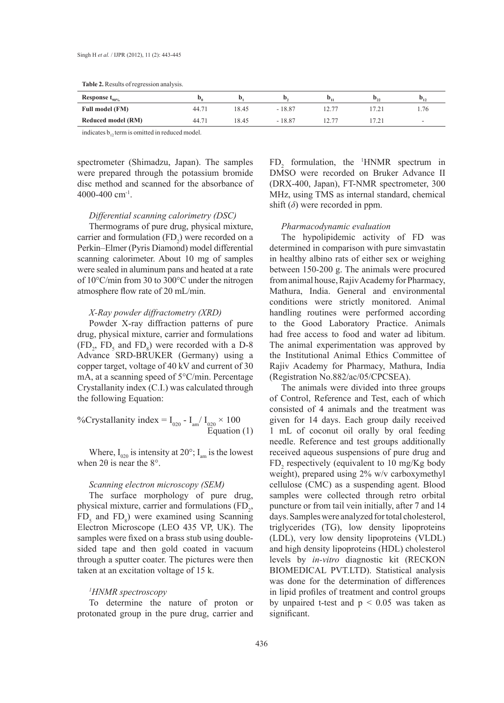| Response $t_{90\%}$ | ᄢ              |       | IJ.      | $v_{11}$ | v.  | $\boldsymbol{M}_{12}$    |
|---------------------|----------------|-------|----------|----------|-----|--------------------------|
| Full model (FM)     | $44.7^{\circ}$ | 18.45 | $-18.87$ |          |     | 1.76                     |
| Reduced model (RM)  | $44.7^{\circ}$ | 18.45 | $-18.87$ |          | 721 | $\overline{\phantom{a}}$ |

indicates  $b_{12}$  term is omitted in reduced model.

spectrometer (Shimadzu, Japan). The samples were prepared through the potassium bromide disc method and scanned for the absorbance of  $4000-400$  cm<sup>-1</sup>.

#### *Differential scanning calorimetry (DSC)*

Thermograms of pure drug, physical mixture, carrier and formulation  $(FD_2)$  were recorded on a Perkin–Elmer (Pyris Diamond) model differential scanning calorimeter. About 10 mg of samples were sealed in aluminum pans and heated at a rate of 10°C/min from 30 to 300°C under the nitrogen atmosphere flow rate of 20 mL/min.

## *X-Ray powder diffractometry (XRD)*

Powder X-ray diffraction patterns of pure drug, physical mixture, carrier and formulations  $(FD_2, FD_5$  and  $FD_8$ ) were recorded with a D-8 Advance SRD-BRUKER (Germany) using a copper target, voltage of 40 kV and current of 30 mA, at a scanning speed of 5°C/min. Percentage Crystallanity index (C.I.) was calculated through the following Equation:

%Crystallanity index =  $I_{020}$  -  $I_{am}/ I_{020} \times 100$ Equation (1)

Where,  $I_{020}$  is intensity at 20°;  $I_{am}$  is the lowest when  $2\theta$  is near the  $8^\circ$ .

#### *Scanning electron microscopy (SEM)*

The surface morphology of pure drug, physical mixture, carrier and formulations  $(FD_2)$ ,  $FD<sub>5</sub>$  and  $FD<sub>8</sub>$ ) were examined using Scanning Electron Microscope (LEO 435 VP, UK). The samples were fixed on a brass stub using doublesided tape and then gold coated in vacuum through a sputter coater. The pictures were then taken at an excitation voltage of 15 k.

## *1 HNMR spectroscopy*

To determine the nature of proton or protonated group in the pure drug, carrier and

 $FD_2$  formulation, the <sup>1</sup>HNMR spectrum in DMSO were recorded on Bruker Advance II (DRX-400, Japan), FT-NMR spectrometer, 300 MHz, using TMS as internal standard, chemical shift  $(\delta)$  were recorded in ppm.

#### *Pharmacodynamic evaluation*

The hypolipidemic activity of FD was determined in comparison with pure simvastatin in healthy albino rats of either sex or weighing between 150-200 g. The animals were procured from animal house, Rajiv Academy for Pharmacy, Mathura, India. General and environmental conditions were strictly monitored. Animal handling routines were performed according to the Good Laboratory Practice. Animals had free access to food and water ad libitum. The animal experimentation was approved by the Institutional Animal Ethics Committee of Rajiv Academy for Pharmacy, Mathura, India (Registration No.882/ac/05/CPCSEA).

The animals were divided into three groups of Control, Reference and Test, each of which consisted of 4 animals and the treatment was given for 14 days. Each group daily received 1 mL of coconut oil orally by oral feeding needle. Reference and test groups additionally received aqueous suspensions of pure drug and  $FD_2$  respectively (equivalent to 10 mg/Kg body weight), prepared using 2% w/v carboxymethyl cellulose (CMC) as a suspending agent. Blood samples were collected through retro orbital puncture or from tail vein initially, after 7 and 14 days. Samples were analyzed for total cholesterol, triglycerides (TG), low density lipoproteins (LDL), very low density lipoproteins (VLDL) and high density lipoproteins (HDL) cholesterol levels by *in-vitro* diagnostic kit (RECKON BIOMEDICAL PVT.LTD). Statistical analysis was done for the determination of differences in lipid profiles of treatment and control groups by unpaired t-test and  $p < 0.05$  was taken as significant.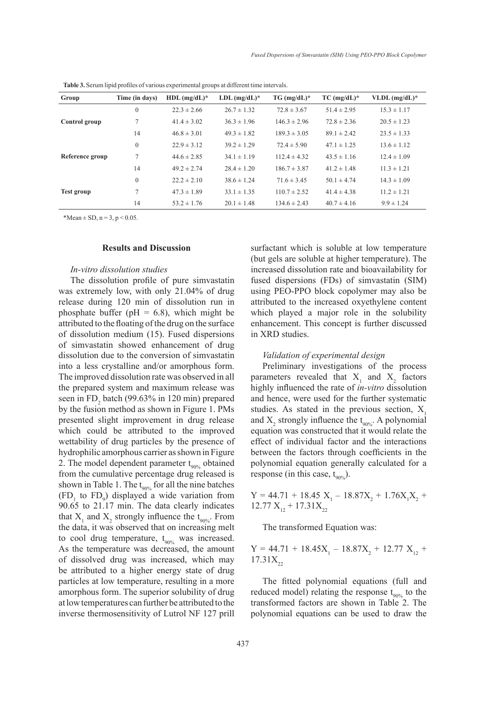| Group             | Time (in days) | $HDL$ (mg/dL) <sup>*</sup> | $LDL$ (mg/dL) <sup>*</sup> | $TG$ (mg/dL)*    | $TC$ (mg/dL)*   | VLDL $(mg/dL)^*$ |
|-------------------|----------------|----------------------------|----------------------------|------------------|-----------------|------------------|
| Control group     | $\mathbf{0}$   | $22.3 \pm 2.66$            | $26.7 \pm 1.32$            | $72.8 \pm 3.67$  | $51.4 \pm 2.95$ | $15.3 \pm 1.17$  |
|                   | 7              | $41.4 \pm 3.02$            | $36.3 \pm 1.96$            | $146.3 \pm 2.96$ | $72.8 \pm 2.36$ | $20.5 \pm 1.23$  |
|                   | 14             | $46.8 \pm 3.01$            | $49.3 \pm 1.82$            | $189.3 \pm 3.05$ | $89.1 \pm 2.42$ | $23.5 \pm 1.33$  |
| Reference group   | $\mathbf{0}$   | $22.9 \pm 3.12$            | $39.2 \pm 1.29$            | $72.4 \pm 5.90$  | $47.1 \pm 1.25$ | $13.6 \pm 1.12$  |
|                   | 7              | $44.6 \pm 2.85$            | $34.1 \pm 1.19$            | $112.4 \pm 4.32$ | $43.5 \pm 1.16$ | $12.4 \pm 1.09$  |
|                   | 14             | $49.2 \pm 2.74$            | $28.4 \pm 1.20$            | $186.7 \pm 3.87$ | $41.2 \pm 1.48$ | $11.3 \pm 1.21$  |
| <b>Test group</b> | $\Omega$       | $22.2 \pm 2.10$            | $38.6 \pm 1.24$            | $71.6 \pm 3.45$  | $50.1 \pm 4.74$ | $14.3 \pm 1.09$  |
|                   | $\tau$         | $47.3 \pm 1.89$            | $33.1 \pm 1.35$            | $110.7 \pm 2.52$ | $41.4 \pm 4.38$ | $11.2 \pm 1.21$  |
|                   | 14             | $53.2 \pm 1.76$            | $20.1 \pm 1.48$            | $134.6 \pm 2.43$ | $40.7 \pm 4.16$ | $9.9 \pm 1.24$   |

**Table 3.** Serum lipid profiles of various experimental groups at different time intervals.

\*Mean  $\pm$  SD, n = 3, p < 0.05.

#### **Results and Discussion**

#### *In-vitro dissolution studies*

The dissolution profile of pure simvastatin was extremely low, with only 21.04% of drug release during 120 min of dissolution run in phosphate buffer ( $pH = 6.8$ ), which might be attributed to the floating of the drug on the surface of dissolution medium (15). Fused dispersions of simvastatin showed enhancement of drug dissolution due to the conversion of simvastatin into a less crystalline and/or amorphous form. The improved dissolution rate was observed in all the prepared system and maximum release was seen in  $FD_2$  batch (99.63% in 120 min) prepared by the fusion method as shown in Figure 1. PMs presented slight improvement in drug release which could be attributed to the improved wettability of drug particles by the presence of hydrophilic amorphous carrier as shown in Figure 2. The model dependent parameter  $t_{90\%}$  obtained from the cumulative percentage drug released is shown in Table 1. The  $t_{.90\%}$  for all the nine batches  $(FD_1$  to  $FD_9$ ) displayed a wide variation from 90.65 to 21.17 min. The data clearly indicates that  $X_1$  and  $X_2$  strongly influence the  $t_{90\%}$ . From the data, it was observed that on increasing melt to cool drug temperature,  $t_{90%}$  was increased. As the temperature was decreased, the amount of dissolved drug was increased, which may be attributed to a higher energy state of drug particles at low temperature, resulting in a more amorphous form. The superior solubility of drug at low temperatures can further be attributed to the inverse thermosensitivity of Lutrol NF 127 prill

surfactant which is soluble at low temperature (but gels are soluble at higher temperature). The increased dissolution rate and bioavailability for fused dispersions (FDs) of simvastatin (SIM) using PEO-PPO block copolymer may also be attributed to the increased oxyethylene content which played a major role in the solubility enhancement. This concept is further discussed in XRD studies.

#### *Validation of experimental design*

Preliminary investigations of the process parameters revealed that  $X_1$  and  $X_2$  factors highly influenced the rate of *in-vitro* dissolution and hence, were used for the further systematic studies. As stated in the previous section,  $X_1$ and  $X_2$  strongly influence the  $t_{90\%}$ . A polynomial equation was constructed that it would relate the effect of individual factor and the interactions between the factors through coefficients in the polynomial equation generally calculated for a response (in this case,  $t_{90\%}$ ).

 $Y = 44.71 + 18.45$   $X_1 - 18.87X_2 + 1.76X_1X_2 +$  $12.77 X_{12} + 17.31 X_{22}$ 

The transformed Equation was:

 $Y = 44.71 + 18.45X_1 - 18.87X_2 + 12.77X_{12} +$  $17.31X_{22}$ 

The fitted polynomial equations (full and reduced model) relating the response  $t_{90\%}$  to the transformed factors are shown in Table 2. The polynomial equations can be used to draw the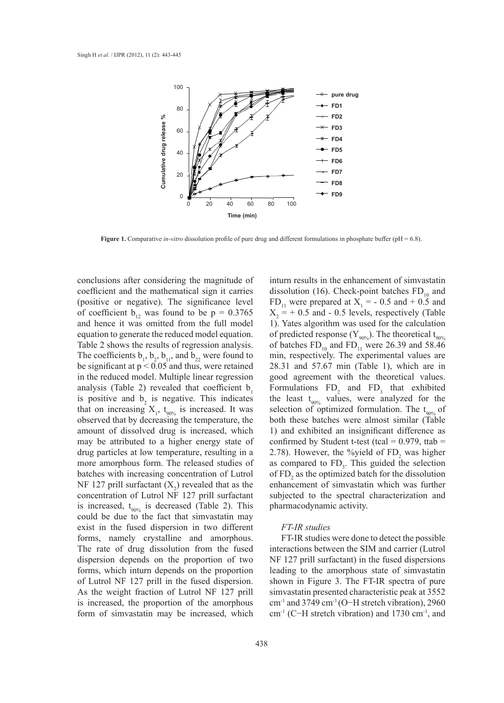

**Figure 1.** Comparative *in-vitro* dissolution profile of pure drug and different formulations in phosphate buffer (pH = 6.8).

conclusions after considering the magnitude of coefficient and the mathematical sign it carries (positive or negative). The significance level of coefficient  $b_{12}$  was found to be  $p = 0.3765$ and hence it was omitted from the full model equation to generate the reduced model equation. Table 2 shows the results of regression analysis. The coefficients  $b_1$ ,  $b_2$ ,  $b_{11}$ , and  $b_{22}$  were found to be significant at  $p < 0.05$  and thus, were retained in the reduced model. Multiple linear regression analysis (Table 2) revealed that coefficient  $b_1$ is positive and  $b_2$  is negative. This indicates that on increasing  $X_1$ ,  $t_{90\%}$  is increased. It was observed that by decreasing the temperature, the amount of dissolved drug is increased, which may be attributed to a higher energy state of drug particles at low temperature, resulting in a more amorphous form. The released studies of batches with increasing concentration of Lutrol NF 127 prill surfactant  $(X_2)$  revealed that as the concentration of Lutrol NF 127 prill surfactant is increased,  $t_{90\%}$  is decreased (Table 2). This could be due to the fact that simvastatin may exist in the fused dispersion in two different forms, namely crystalline and amorphous. The rate of drug dissolution from the fused dispersion depends on the proportion of two forms, which inturn depends on the proportion of Lutrol NF 127 prill in the fused dispersion. As the weight fraction of Lutrol NF 127 prill is increased, the proportion of the amorphous form of simvastatin may be increased, which

inturn results in the enhancement of simvastatin dissolution (16). Check-point batches  $FD_{10}$  and  $FD_{11}$  were prepared at  $X_1 = -0.5$  and  $+0.5$  and  $X_2$  = + 0.5 and - 0.5 levels, respectively (Table 1). Yates algorithm was used for the calculation of predicted response ( $Y_{90\%}$ ). The theoretical t<sub>90%</sub> of batches  $FD_{10}$  and  $FD_{11}$  were 26.39 and 58.46 min, respectively. The experimental values are 28.31 and 57.67 min (Table 1), which are in good agreement with the theoretical values. Formulations  $FD_2$  and  $FD_3$  that exhibited the least  $t_{90\%}$  values, were analyzed for the selection of optimized formulation. The  $t_{90\%}$  of both these batches were almost similar (Table 1) and exhibited an insignificant difference as confirmed by Student t-test (tcal =  $0.979$ , ttab = 2.78). However, the %yield of  $FD_2$  was higher as compared to  $FD_3$ . This guided the selection of  $FD_2$  as the optimized batch for the dissolution enhancement of simvastatin which was further subjected to the spectral characterization and pharmacodynamic activity.

## *FT-IR studies*

FT-IR studies were done to detect the possible interactions between the SIM and carrier (Lutrol NF 127 prill surfactant) in the fused dispersions leading to the amorphous state of simvastatin shown in Figure 3. The FT-IR spectra of pure simvastatin presented characteristic peak at 3552 cm<sup>-1</sup> and 3749 cm<sup>-1</sup> (O−H stretch vibration), 2960 cm-1 (C−H stretch vibration) and 1730 cm-1, and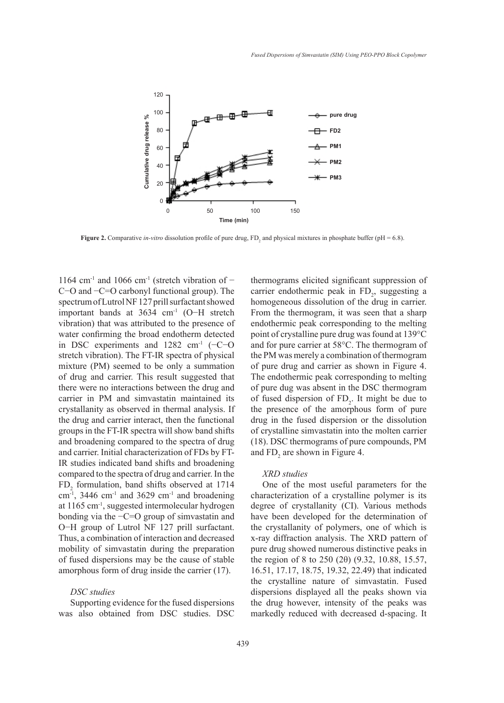

**Figure 2.** Comparative *in-vitro* dissolution profile of pure drug,  $FD_2$  and physical mixtures in phosphate buffer ( $pH = 6.8$ ).

1164 cm<sup>-1</sup> and 1066 cm<sup>-1</sup> (stretch vibration of  $-$ C−O and −C=O carbonyl functional group). The spectrum of Lutrol NF 127 prill surfactant showed important bands at 3634 cm-1 (O−H stretch vibration) that was attributed to the presence of water confirming the broad endotherm detected in DSC experiments and 1282 cm-1 (−C−O stretch vibration). The FT-IR spectra of physical mixture (PM) seemed to be only a summation of drug and carrier. This result suggested that there were no interactions between the drug and carrier in PM and simvastatin maintained its crystallanity as observed in thermal analysis. If the drug and carrier interact, then the functional groups in the FT-IR spectra will show band shifts and broadening compared to the spectra of drug and carrier. Initial characterization of FDs by FT-IR studies indicated band shifts and broadening compared to the spectra of drug and carrier. In the  $FD<sub>2</sub>$  formulation, band shifts observed at 1714 cm $^{-1}$ , 3446 cm<sup>-1</sup> and 3629 cm<sup>-1</sup> and broadening at 1165 cm-1, suggested intermolecular hydrogen bonding via the −C=O group of simvastatin and O−H group of Lutrol NF 127 prill surfactant. Thus, a combination of interaction and decreased mobility of simvastatin during the preparation of fused dispersions may be the cause of stable amorphous form of drug inside the carrier (17).

## *DSC studies*

Supporting evidence for the fused dispersions was also obtained from DSC studies. DSC thermograms elicited significant suppression of carrier endothermic peak in  $FD_2$ , suggesting a homogeneous dissolution of the drug in carrier. From the thermogram, it was seen that a sharp endothermic peak corresponding to the melting point of crystalline pure drug was found at 139°C and for pure carrier at 58°C. The thermogram of the PM was merely a combination of thermogram of pure drug and carrier as shown in Figure 4. The endothermic peak corresponding to melting of pure dug was absent in the DSC thermogram of fused dispersion of  $FD_2$ . It might be due to the presence of the amorphous form of pure drug in the fused dispersion or the dissolution of crystalline simvastatin into the molten carrier (18). DSC thermograms of pure compounds, PM and  $FD_2$  are shown in Figure 4.

## *XRD studies*

One of the most useful parameters for the characterization of a crystalline polymer is its degree of crystallanity (CI). Various methods have been developed for the determination of the crystallanity of polymers, one of which is x-ray diffraction analysis. The XRD pattern of pure drug showed numerous distinctive peaks in the region of 8 to 250 (2θ) (9.32, 10.88, 15.57, 16.51, 17.17, 18.75, 19.32, 22.49) that indicated the crystalline nature of simvastatin. Fused dispersions displayed all the peaks shown via the drug however, intensity of the peaks was markedly reduced with decreased d-spacing. It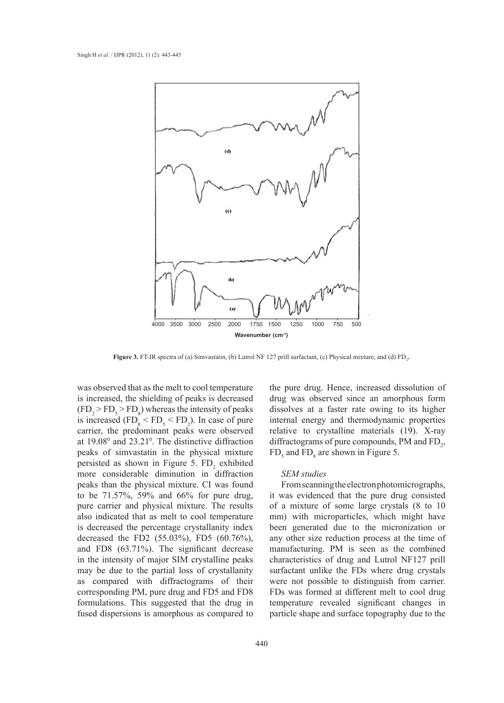

**Figure 3.** FT-IR spectra of (a) Simvastatin, (b) Lutrol NF 127 prill surfactant, (c) Physical mixture, and (d) FD<sub>2</sub>.

was observed that as the melt to cool temperature is increased, the shielding of peaks is decreased  $(FD_2 > FD_5 > FD_8)$  whereas the intensity of peaks is increased  $(FD_8 \le FD_5 \le FD_2)$ . In case of pure carrier, the predominant peaks were observed at  $19.08^{\circ}$  and  $23.21^{\circ}$ . The distinctive diffraction peaks of simvastatin in the physical mixture persisted as shown in Figure 5.  $FD_2$  exhibited more considerable diminution in diffraction peaks than the physical mixture. CI was found to be 71.57%, 59% and 66% for pure drug, pure carrier and physical mixture. The results also indicated that as melt to cool temperature is decreased the percentage crystallanity index decreased the FD2 (55.03%), FD5 (60.76%), and FD8 (63.71%). The significant decrease in the intensity of major SIM crystalline peaks may be due to the partial loss of crystallanity as compared with diffractograms of their corresponding PM, pure drug and FD5 and FD8 formulations. This suggested that the drug in fused dispersions is amorphous as compared to

the pure drug. Hence, increased dissolution of drug was observed since an amorphous form dissolves at a faster rate owing to its higher internal energy and thermodynamic properties relative to crystalline materials (19). X-ray diffractograms of pure compounds, PM and  $FD_2$ ,  $FD<sub>5</sub>$  and  $FD<sub>8</sub>$  are shown in Figure 5.

## *SEM studies*

From scanning the electron photomicrographs, it was evidenced that the pure drug consisted of a mixture of some large crystals (8 to 10 mm) with microparticles, which might have been generated due to the micronization or any other size reduction process at the time of manufacturing. PM is seen as the combined characteristics of drug and Lutrol NF127 prill surfactant unlike the FDs where drug crystals were not possible to distinguish from carrier. FDs was formed at different melt to cool drug temperature revealed significant changes in particle shape and surface topography due to the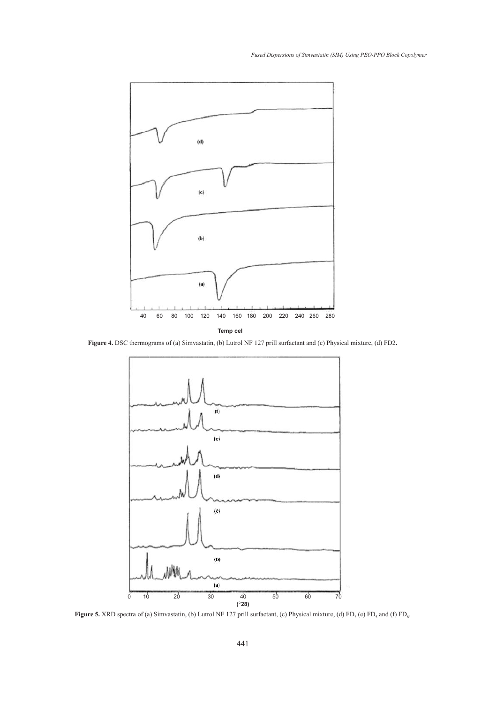

**Figure 4.** DSC thermograms of (a) Simvastatin, (b) Lutrol NF 127 prill surfactant and (c) Physical mixture, (d) FD2**.**



**Figure 5.** XRD spectra of (a) Simvastatin, (b) Lutrol NF 127 prill surfactant, (c) Physical mixture, (d) FD<sub>2</sub> (e) FD<sub>5</sub> and (f) FD<sub>8</sub>.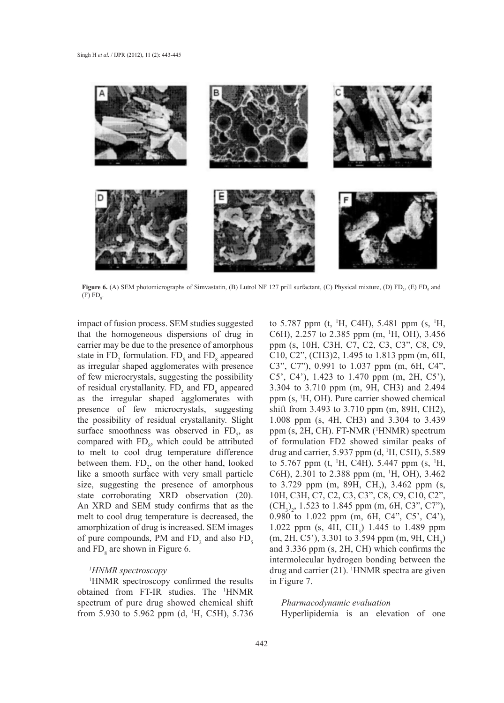

**Figure 6.** (A) SEM photomicrographs of Simvastatin, (B) Lutrol NF 127 prill surfactant, (C) Physical mixture, (D)  $FD_2$ , (E)  $FD_5$  and  $(F)$   $FD<sub>8</sub>$ .

impact of fusion process. SEM studies suggested that the homogeneous dispersions of drug in carrier may be due to the presence of amorphous state in  $FD_2$  formulation.  $FD_5$  and  $FD_8$  appeared as irregular shaped agglomerates with presence of few microcrystals, suggesting the possibility of residual crystallanity.  $FD<sub>5</sub>$  and  $FD<sub>8</sub>$  appeared as the irregular shaped agglomerates with presence of few microcrystals, suggesting the possibility of residual crystallanity. Slight surface smoothness was observed in  $FD_s$ , as compared with  $FD<sub>8</sub>$ , which could be attributed to melt to cool drug temperature difference between them.  $FD_2$ , on the other hand, looked like a smooth surface with very small particle size, suggesting the presence of amorphous state corroborating XRD observation (20). An XRD and SEM study confirms that as the melt to cool drug temperature is decreased, the amorphization of drug is increased. SEM images of pure compounds, PM and  $FD_2$  and also  $FD_5$ and  $FD<sub>8</sub>$  are shown in Figure 6.

## *1 HNMR spectroscopy*

1 HNMR spectroscopy confirmed the results obtained from FT-IR studies. The <sup>1</sup> HNMR spectrum of pure drug showed chemical shift from 5.930 to 5.962 ppm (d, <sup>1</sup>H, C5H), 5.736

to 5.787 ppm (t, <sup>1</sup>H, C4H), 5.481 ppm (s, <sup>1</sup>H, C6H), 2.257 to 2.385 ppm (m, <sup>1</sup> H, OH), 3.456 ppm (s, 10H, C3H, C7, C2, C3, C3", C8, C9, C10, C2", (CH3)2, 1.495 to 1.813 ppm (m, 6H, C3", C7"), 0.991 to 1.037 ppm (m, 6H, C4", C5', C4'), 1.423 to 1.470 ppm (m, 2H, C5'), 3.304 to 3.710 ppm (m, 9H, CH3) and 2.494 ppm (s, 1 H, OH). Pure carrier showed chemical shift from 3.493 to 3.710 ppm (m, 89H, CH2), 1.008 ppm (s, 4H, CH3) and 3.304 to 3.439 ppm (s, 2H, CH). FT-NMR (<sup>1</sup>HNMR) spectrum of formulation FD2 showed similar peaks of drug and carrier,  $5.937$  ppm (d,  $^1H$ , C5H),  $5.589$ to 5.767 ppm (t, <sup>1</sup>H, C4H), 5.447 ppm (s, <sup>1</sup>H, C6H), 2.301 to 2.388 ppm (m, <sup>1</sup>H, OH), 3.462 to 3.729 ppm (m, 89H,  $CH_2$ ), 3.462 ppm (s, 10H, C3H, C7, C2, C3, C3", C8, C9, C10, C2",  $(CH_3)_2$ , 1.523 to 1.845 ppm (m, 6H, C3", C7"), 0.980 to 1.022 ppm (m, 6H, C4", C5', C4'), 1.022 ppm (s, 4H,  $CH_3$ ) 1.445 to 1.489 ppm  $(m, 2H, C5')$ , 3.301 to 3.594 ppm  $(m, 9H, CH<sub>3</sub>)$ and 3.336 ppm (s, 2H, CH) which confirms the intermolecular hydrogen bonding between the drug and carrier  $(21)$ . <sup>1</sup>HNMR spectra are given in Figure 7.

# *Pharmacodynamic evaluation*

Hyperlipidemia is an elevation of one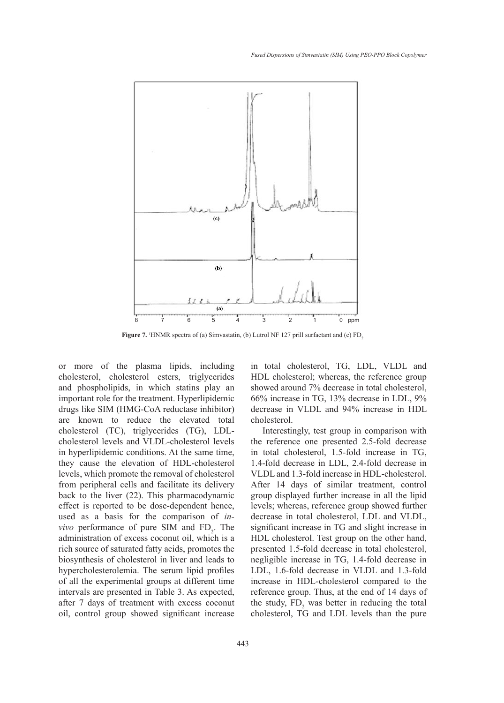

**Figure 7.** <sup>1</sup>HNMR spectra of (a) Simvastatin, (b) Lutrol NF 127 prill surfactant and (c) FD<sub>2</sub>

or more of the plasma lipids, including cholesterol, cholesterol esters, triglycerides and phospholipids, in which statins play an important role for the treatment. Hyperlipidemic drugs like SIM (HMG-CoA reductase inhibitor) are known to reduce the elevated total cholesterol (TC), triglycerides (TG), LDLcholesterol levels and VLDL-cholesterol levels in hyperlipidemic conditions. At the same time, they cause the elevation of HDL-cholesterol levels, which promote the removal of cholesterol from peripheral cells and facilitate its delivery back to the liver (22). This pharmacodynamic effect is reported to be dose-dependent hence, used as a basis for the comparison of *invivo* performance of pure SIM and  $FD_2$ . The administration of excess coconut oil, which is a rich source of saturated fatty acids, promotes the biosynthesis of cholesterol in liver and leads to hypercholesterolemia. The serum lipid profiles of all the experimental groups at different time intervals are presented in Table 3. As expected, after 7 days of treatment with excess coconut oil, control group showed significant increase

443

in total cholesterol, TG, LDL, VLDL and HDL cholesterol; whereas, the reference group showed around 7% decrease in total cholesterol, 66% increase in TG, 13% decrease in LDL, 9% decrease in VLDL and 94% increase in HDL cholesterol.

Interestingly, test group in comparison with the reference one presented 2.5-fold decrease in total cholesterol, 1.5-fold increase in TG, 1.4-fold decrease in LDL, 2.4-fold decrease in VLDL and 1.3-fold increase in HDL-cholesterol. After 14 days of similar treatment, control group displayed further increase in all the lipid levels; whereas, reference group showed further decrease in total cholesterol, LDL and VLDL, significant increase in TG and slight increase in HDL cholesterol. Test group on the other hand, presented 1.5-fold decrease in total cholesterol, negligible increase in TG, 1.4-fold decrease in LDL, 1.6-fold decrease in VLDL and 1.3-fold increase in HDL-cholesterol compared to the reference group. Thus, at the end of 14 days of the study,  $FD_2$  was better in reducing the total cholesterol, TG and LDL levels than the pure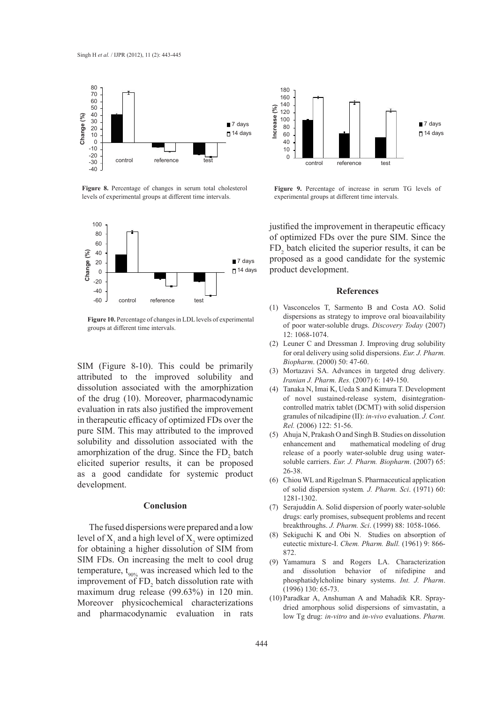

**Figure 8.** Percentage of changes in serum total cholesterol levels of experimental groups at different time intervals.



**Figure 10.** Percentage of changes in LDL levels of experimental groups at different time intervals.

SIM (Figure 8-10). This could be primarily attributed to the improved solubility and dissolution associated with the amorphization of the drug (10). Moreover, pharmacodynamic evaluation in rats also justified the improvement in therapeutic efficacy of optimized FDs over the pure SIM. This may attributed to the improved solubility and dissolution associated with the amorphization of the drug. Since the  $FD_2$  batch elicited superior results, it can be proposed as a good candidate for systemic product development.

#### **Conclusion**

The fused dispersions were prepared and a low level of  $X_1$  and a high level of  $X_2$  were optimized for obtaining a higher dissolution of SIM from SIM FDs. On increasing the melt to cool drug temperature,  $t_{90\%}$  was increased which led to the improvement of  $FD_2$  batch dissolution rate with maximum drug release (99.63%) in 120 min. Moreover physicochemical characterizations and pharmacodynamic evaluation in rats



**Figure 9.** Percentage of increase in serum TG levels of experimental groups at different time intervals.

justified the improvement in therapeutic efficacy of optimized FDs over the pure SIM. Since the  $FD_2$  batch elicited the superior results, it can be proposed as a good candidate for the systemic product development.

#### **References**

- Vasconcelos T, Sarmento B and Costa AO. Solid (1) dispersions as strategy to improve oral bioavailability of poor water-soluble drugs. *Discovery Today* (2007) 12: 1068-1074.
- Leuner C and Dressman J. Improving drug solubility (2) for oral delivery using solid dispersions. *Eur. J. Pharm. Biopharm*. (2000) 50: 47-60.
- Mortazavi SA. Advances in targeted drug delivery*.*  (3) *Iranian J. Pharm. Res.* (2007) 6: 149-150.
- Tanaka N, Imai K, Ueda S and Kimura T. Development of novel sustained-release system, disintegrationcontrolled matrix tablet (DCMT) with solid dispersion granules of nilcadipine (II): *in-vivo* evaluation. *J. Cont. Rel.* (2006) 122: 51-56. (4)
- Ahuja N, Prakash O and Singh B. Studies on dissolution (5) enhancement and mathematical modeling of drug release of a poorly water-soluble drug using watersoluble carriers. *Eur. J. Pharm. Biopharm*. (2007) 65: 26-38.
- (6) Chiou WL and Rigelman S. Pharmaceutical application of solid dispersion system*. J. Pharm. Sci*. (1971) 60: 1281-1302.
- (7) Serajuddin A. Solid dispersion of poorly water-soluble drugs: early promises, subsequent problems and recent breakthroughs. *J. Pharm. Sci*. (1999) 88: 1058-1066.
- Sekiguchi K and Obi N. Studies on absorption of eutectic mixture-I. *Chem. Pharm. Bull.* (1961) 9: 866- 872. (8)
- (9) Yamamura S and Rogers LA. Characterization and dissolution behavior of nifedipine and phosphatidylcholine binary systems. *Int. J. Pharm*. (1996) 130: 65-73.
- (10) Paradkar A, Anshuman A and Mahadik KR. Spraydried amorphous solid dispersions of simvastatin, a low Tg drug: *in-vitro* and *in-vivo* evaluations. *Pharm.*